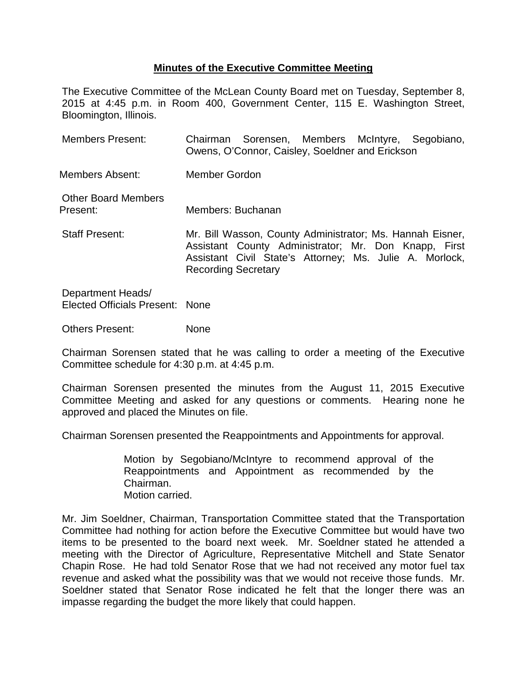## **Minutes of the Executive Committee Meeting**

The Executive Committee of the McLean County Board met on Tuesday, September 8, 2015 at 4:45 p.m. in Room 400, Government Center, 115 E. Washington Street, Bloomington, Illinois.

| <b>Members Present:</b>                | Chairman Sorensen, Members McIntyre, Segobiano,<br>Owens, O'Connor, Caisley, Soeldner and Erickson                                                                                                         |
|----------------------------------------|------------------------------------------------------------------------------------------------------------------------------------------------------------------------------------------------------------|
| Members Absent:                        | Member Gordon                                                                                                                                                                                              |
| <b>Other Board Members</b><br>Present: | Members: Buchanan                                                                                                                                                                                          |
| <b>Staff Present:</b>                  | Mr. Bill Wasson, County Administrator; Ms. Hannah Eisner,<br>Assistant County Administrator; Mr. Don Knapp, First<br>Assistant Civil State's Attorney; Ms. Julie A. Morlock,<br><b>Recording Secretary</b> |

Department Heads/ Elected Officials Present: None

Others Present: None

Chairman Sorensen stated that he was calling to order a meeting of the Executive Committee schedule for 4:30 p.m. at 4:45 p.m.

Chairman Sorensen presented the minutes from the August 11, 2015 Executive Committee Meeting and asked for any questions or comments. Hearing none he approved and placed the Minutes on file.

Chairman Sorensen presented the Reappointments and Appointments for approval.

Motion by Segobiano/McIntyre to recommend approval of the Reappointments and Appointment as recommended by the Chairman. Motion carried.

Mr. Jim Soeldner, Chairman, Transportation Committee stated that the Transportation Committee had nothing for action before the Executive Committee but would have two items to be presented to the board next week. Mr. Soeldner stated he attended a meeting with the Director of Agriculture, Representative Mitchell and State Senator Chapin Rose. He had told Senator Rose that we had not received any motor fuel tax revenue and asked what the possibility was that we would not receive those funds. Mr. Soeldner stated that Senator Rose indicated he felt that the longer there was an impasse regarding the budget the more likely that could happen.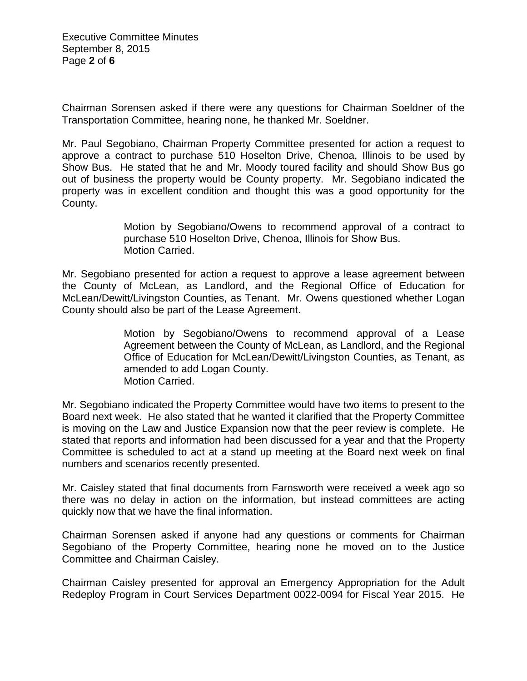Executive Committee Minutes September 8, 2015 Page **2** of **6**

Chairman Sorensen asked if there were any questions for Chairman Soeldner of the Transportation Committee, hearing none, he thanked Mr. Soeldner.

Mr. Paul Segobiano, Chairman Property Committee presented for action a request to approve a contract to purchase 510 Hoselton Drive, Chenoa, Illinois to be used by Show Bus. He stated that he and Mr. Moody toured facility and should Show Bus go out of business the property would be County property. Mr. Segobiano indicated the property was in excellent condition and thought this was a good opportunity for the County.

> Motion by Segobiano/Owens to recommend approval of a contract to purchase 510 Hoselton Drive, Chenoa, Illinois for Show Bus. Motion Carried.

Mr. Segobiano presented for action a request to approve a lease agreement between the County of McLean, as Landlord, and the Regional Office of Education for McLean/Dewitt/Livingston Counties, as Tenant. Mr. Owens questioned whether Logan County should also be part of the Lease Agreement.

> Motion by Segobiano/Owens to recommend approval of a Lease Agreement between the County of McLean, as Landlord, and the Regional Office of Education for McLean/Dewitt/Livingston Counties, as Tenant, as amended to add Logan County. Motion Carried.

Mr. Segobiano indicated the Property Committee would have two items to present to the Board next week. He also stated that he wanted it clarified that the Property Committee is moving on the Law and Justice Expansion now that the peer review is complete. He stated that reports and information had been discussed for a year and that the Property Committee is scheduled to act at a stand up meeting at the Board next week on final numbers and scenarios recently presented.

Mr. Caisley stated that final documents from Farnsworth were received a week ago so there was no delay in action on the information, but instead committees are acting quickly now that we have the final information.

Chairman Sorensen asked if anyone had any questions or comments for Chairman Segobiano of the Property Committee, hearing none he moved on to the Justice Committee and Chairman Caisley.

Chairman Caisley presented for approval an Emergency Appropriation for the Adult Redeploy Program in Court Services Department 0022-0094 for Fiscal Year 2015. He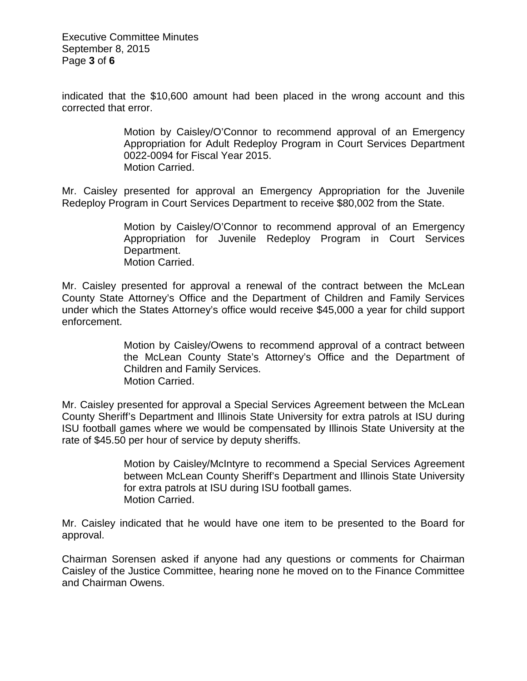Executive Committee Minutes September 8, 2015 Page **3** of **6**

indicated that the \$10,600 amount had been placed in the wrong account and this corrected that error.

> Motion by Caisley/O'Connor to recommend approval of an Emergency Appropriation for Adult Redeploy Program in Court Services Department 0022-0094 for Fiscal Year 2015. Motion Carried.

Mr. Caisley presented for approval an Emergency Appropriation for the Juvenile Redeploy Program in Court Services Department to receive \$80,002 from the State.

> Motion by Caisley/O'Connor to recommend approval of an Emergency Appropriation for Juvenile Redeploy Program in Court Services Department. Motion Carried.

Mr. Caisley presented for approval a renewal of the contract between the McLean County State Attorney's Office and the Department of Children and Family Services under which the States Attorney's office would receive \$45,000 a year for child support enforcement.

> Motion by Caisley/Owens to recommend approval of a contract between the McLean County State's Attorney's Office and the Department of Children and Family Services. Motion Carried.

Mr. Caisley presented for approval a Special Services Agreement between the McLean County Sheriff's Department and Illinois State University for extra patrols at ISU during ISU football games where we would be compensated by Illinois State University at the rate of \$45.50 per hour of service by deputy sheriffs.

> Motion by Caisley/McIntyre to recommend a Special Services Agreement between McLean County Sheriff's Department and Illinois State University for extra patrols at ISU during ISU football games. Motion Carried.

Mr. Caisley indicated that he would have one item to be presented to the Board for approval.

Chairman Sorensen asked if anyone had any questions or comments for Chairman Caisley of the Justice Committee, hearing none he moved on to the Finance Committee and Chairman Owens.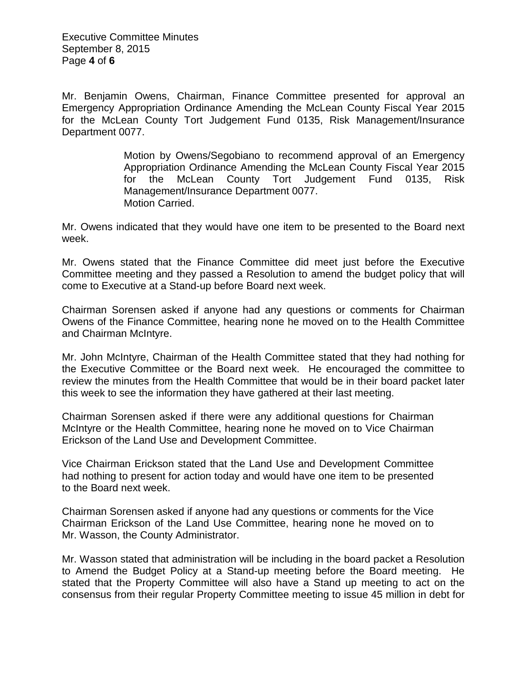Executive Committee Minutes September 8, 2015 Page **4** of **6**

Mr. Benjamin Owens, Chairman, Finance Committee presented for approval an Emergency Appropriation Ordinance Amending the McLean County Fiscal Year 2015 for the McLean County Tort Judgement Fund 0135, Risk Management/Insurance Department 0077.

> Motion by Owens/Segobiano to recommend approval of an Emergency Appropriation Ordinance Amending the McLean County Fiscal Year 2015 for the McLean County Tort Judgement Fund 0135, Risk Management/Insurance Department 0077. Motion Carried.

Mr. Owens indicated that they would have one item to be presented to the Board next week.

Mr. Owens stated that the Finance Committee did meet just before the Executive Committee meeting and they passed a Resolution to amend the budget policy that will come to Executive at a Stand-up before Board next week.

Chairman Sorensen asked if anyone had any questions or comments for Chairman Owens of the Finance Committee, hearing none he moved on to the Health Committee and Chairman McIntyre.

Mr. John McIntyre, Chairman of the Health Committee stated that they had nothing for the Executive Committee or the Board next week. He encouraged the committee to review the minutes from the Health Committee that would be in their board packet later this week to see the information they have gathered at their last meeting.

Chairman Sorensen asked if there were any additional questions for Chairman McIntyre or the Health Committee, hearing none he moved on to Vice Chairman Erickson of the Land Use and Development Committee.

Vice Chairman Erickson stated that the Land Use and Development Committee had nothing to present for action today and would have one item to be presented to the Board next week.

Chairman Sorensen asked if anyone had any questions or comments for the Vice Chairman Erickson of the Land Use Committee, hearing none he moved on to Mr. Wasson, the County Administrator.

Mr. Wasson stated that administration will be including in the board packet a Resolution to Amend the Budget Policy at a Stand-up meeting before the Board meeting. He stated that the Property Committee will also have a Stand up meeting to act on the consensus from their regular Property Committee meeting to issue 45 million in debt for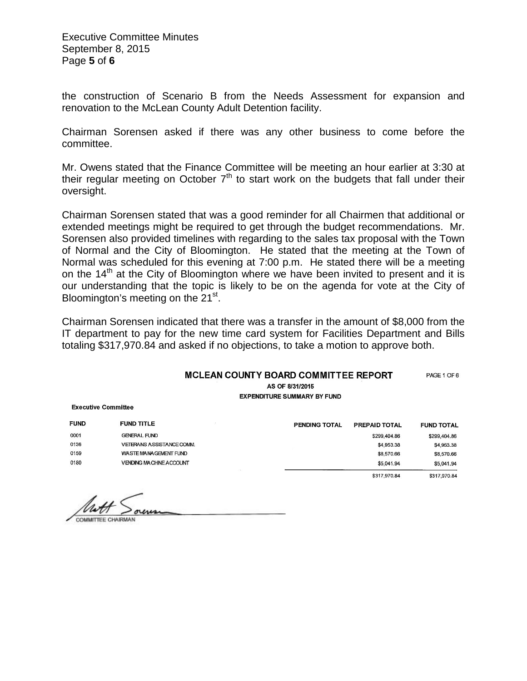Executive Committee Minutes September 8, 2015 Page **5** of **6**

the construction of Scenario B from the Needs Assessment for expansion and renovation to the McLean County Adult Detention facility.

Chairman Sorensen asked if there was any other business to come before the committee.

Mr. Owens stated that the Finance Committee will be meeting an hour earlier at 3:30 at their regular meeting on October  $7<sup>th</sup>$  to start work on the budgets that fall under their oversight.

Chairman Sorensen stated that was a good reminder for all Chairmen that additional or extended meetings might be required to get through the budget recommendations. Mr. Sorensen also provided timelines with regarding to the sales tax proposal with the Town of Normal and the City of Bloomington. He stated that the meeting at the Town of Normal was scheduled for this evening at 7:00 p.m. He stated there will be a meeting on the  $14<sup>th</sup>$  at the City of Bloomington where we have been invited to present and it is our understanding that the topic is likely to be on the agenda for vote at the City of Bloomington's meeting on the 21<sup>st</sup>.

Chairman Sorensen indicated that there was a transfer in the amount of \$8,000 from the IT department to pay for the new time card system for Facilities Department and Bills totaling \$317,970.84 and asked if no objections, to take a motion to approve both.

## **MCLEAN COUNTY BOARD COMMITTEE REPORT** AS OF 8/31/2015

**EXPENDITURE SUMMARY BY FUND** 

PAGE 1 OF 6

**Executive Committee** 

| <b>FUND</b> | <b>FUND TITLE</b>              | <b>PENDING TOTAL</b> | <b>PREPAID TOTAL</b> | <b>FUND TOTAL</b> |
|-------------|--------------------------------|----------------------|----------------------|-------------------|
| 0001        | <b>GENERAL FUND</b>            |                      | \$299,404.86         | \$299,404.86      |
| 0136        | VETERANS ASSISTANCE COMM.      |                      | \$4,953.38           | \$4,953.38        |
| 0159        | WASTE MANAGEMENT FUND          |                      | \$8,570.66           | \$8,570.66        |
| 0180        | <b>VENDING MACHINE ACCOUNT</b> |                      | \$5.041.94           | \$5,041.94        |
|             |                                |                      | \$317,970.84         | \$317,970.84      |